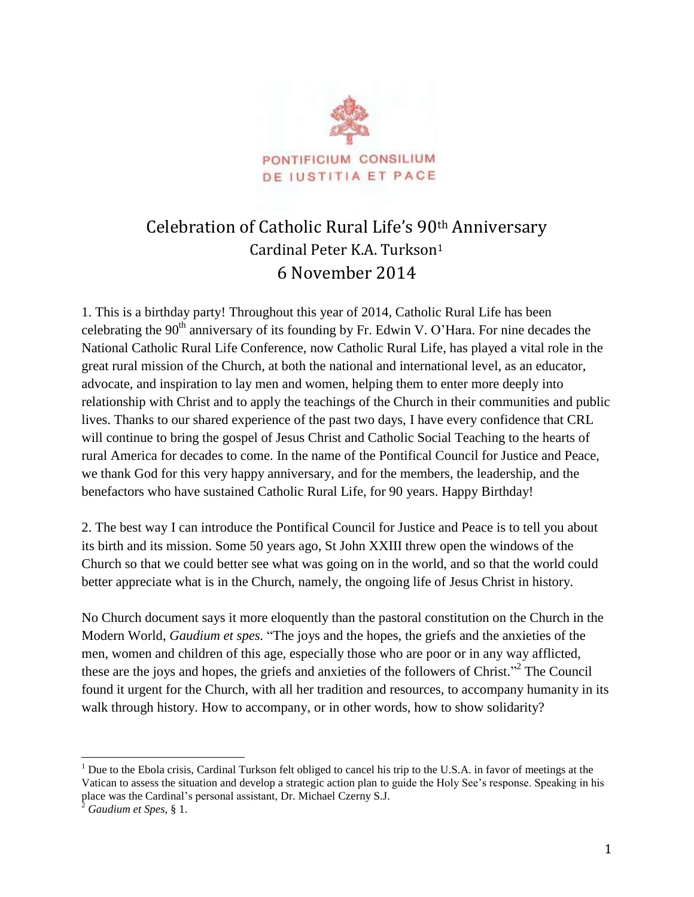

## Celebration of Catholic Rural Life's 90th Anniversary Cardinal Peter K.A. Turkson<sup>1</sup> 6 November 2014

1. This is a birthday party! Throughout this year of 2014, Catholic Rural Life has been celebrating the  $90<sup>th</sup>$  anniversary of its founding by Fr. Edwin V. O'Hara. For nine decades the National Catholic Rural Life Conference, now Catholic Rural Life, has played a vital role in the great rural mission of the Church, at both the national and international level, as an educator, advocate, and inspiration to lay men and women, helping them to enter more deeply into relationship with Christ and to apply the teachings of the Church in their communities and public lives. Thanks to our shared experience of the past two days, I have every confidence that CRL will continue to bring the gospel of Jesus Christ and Catholic Social Teaching to the hearts of rural America for decades to come. In the name of the Pontifical Council for Justice and Peace, we thank God for this very happy anniversary, and for the members, the leadership, and the benefactors who have sustained Catholic Rural Life, for 90 years. Happy Birthday!

2. The best way I can introduce the Pontifical Council for Justice and Peace is to tell you about its birth and its mission. Some 50 years ago, St John XXIII threw open the windows of the Church so that we could better see what was going on in the world, and so that the world could better appreciate what is in the Church, namely, the ongoing life of Jesus Christ in history.

No Church document says it more eloquently than the pastoral constitution on the Church in the Modern World, *Gaudium et spes.* "The joys and the hopes, the griefs and the anxieties of the men, women and children of this age, especially those who are poor or in any way afflicted, these are the joys and hopes, the griefs and anxieties of the followers of Christ."<sup>2</sup> The Council found it urgent for the Church, with all her tradition and resources, to accompany humanity in its walk through history. How to accompany, or in other words, how to show solidarity?

 $\overline{a}$ 

 $<sup>1</sup>$  Due to the Ebola crisis, Cardinal Turkson felt obliged to cancel his trip to the U.S.A. in favor of meetings at the</sup> Vatican to assess the situation and develop a strategic action plan to guide the Holy See's response. Speaking in his place was the Cardinal's personal assistant, Dr. Michael Czerny S.J.

<sup>2</sup> *Gaudium et Spes*, § 1.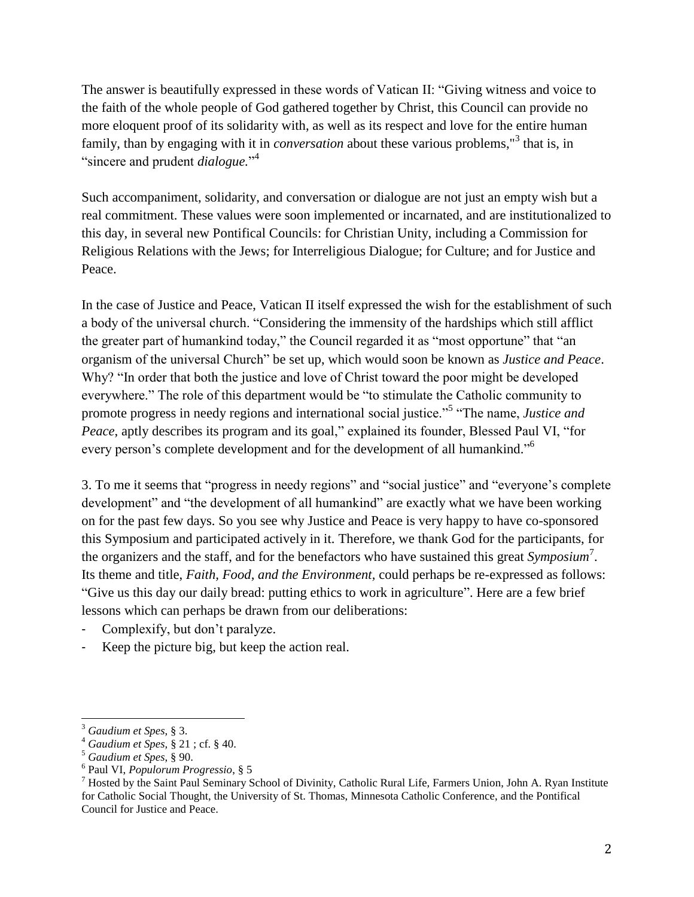The answer is beautifully expressed in these words of Vatican II: "Giving witness and voice to the faith of the whole people of God gathered together by Christ, this Council can provide no more eloquent proof of its solidarity with, as well as its respect and love for the entire human family, than by engaging with it in *conversation* about these various problems," 3 that is, in "sincere and prudent *dialogue.*" 4

Such accompaniment, solidarity, and conversation or dialogue are not just an empty wish but a real commitment. These values were soon implemented or incarnated, and are institutionalized to this day, in several new Pontifical Councils: for Christian Unity, including a Commission for Religious Relations with the Jews; for Interreligious Dialogue; for Culture; and for Justice and Peace.

In the case of Justice and Peace, Vatican II itself expressed the wish for the establishment of such a body of the universal church. "Considering the immensity of the hardships which still afflict the greater part of humankind today," the Council regarded it as "most opportune" that "an organism of the universal Church" be set up, which would soon be known as *Justice and Peace*. Why? "In order that both the justice and love of Christ toward the poor might be developed everywhere." The role of this department would be "to stimulate the Catholic community to promote progress in needy regions and international social justice."<sup>5</sup> "The name, *Justice and Peace*, aptly describes its program and its goal," explained its founder, Blessed Paul VI, "for every person's complete development and for the development of all humankind."<sup>6</sup>

3. To me it seems that "progress in needy regions" and "social justice" and "everyone's complete development" and "the development of all humankind" are exactly what we have been working on for the past few days. So you see why Justice and Peace is very happy to have co-sponsored this Symposium and participated actively in it. Therefore, we thank God for the participants, for the organizers and the staff, and for the benefactors who have sustained this great *Symposium*<sup>7</sup> . Its theme and title, *Faith, Food, and the Environment,* could perhaps be re-expressed as follows: "Give us this day our daily bread: putting ethics to work in agriculture". Here are a few brief lessons which can perhaps be drawn from our deliberations:

- Complexify, but don't paralyze.
- Keep the picture big, but keep the action real.

 $\overline{a}$ 

<sup>3</sup> *Gaudium et Spes*, § 3.

<sup>4</sup> *Gaudium et Spes,* § 21 ; cf. § 40.

<sup>5</sup> *Gaudium et Spes*, § 90.

<sup>6</sup> Paul VI, *Populorum Progressio*, § 5

<sup>&</sup>lt;sup>7</sup> Hosted by the Saint Paul Seminary School of Divinity, Catholic Rural Life, Farmers Union, John A. Ryan Institute for Catholic Social Thought, the University of St. Thomas, Minnesota Catholic Conference, and the Pontifical Council for Justice and Peace.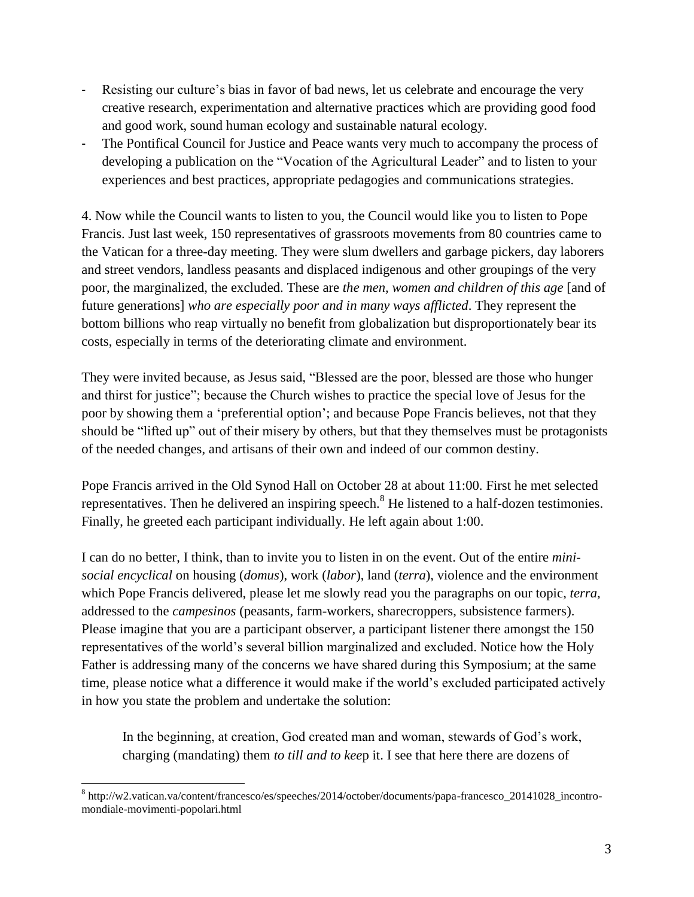- Resisting our culture's bias in favor of bad news, let us celebrate and encourage the very creative research, experimentation and alternative practices which are providing good food and good work, sound human ecology and sustainable natural ecology.
- The Pontifical Council for Justice and Peace wants very much to accompany the process of developing a publication on the "Vocation of the Agricultural Leader" and to listen to your experiences and best practices, appropriate pedagogies and communications strategies.

4. Now while the Council wants to listen to you, the Council would like you to listen to Pope Francis. Just last week, 150 representatives of grassroots movements from 80 countries came to the Vatican for a three-day meeting. They were slum dwellers and garbage pickers, day laborers and street vendors, landless peasants and displaced indigenous and other groupings of the very poor, the marginalized, the excluded. These are *the men, women and children of this age* [and of future generations] *who are especially poor and in many ways afflicted*. They represent the bottom billions who reap virtually no benefit from globalization but disproportionately bear its costs, especially in terms of the deteriorating climate and environment.

They were invited because, as Jesus said, "Blessed are the poor, blessed are those who hunger and thirst for justice"; because the Church wishes to practice the special love of Jesus for the poor by showing them a 'preferential option'; and because Pope Francis believes, not that they should be "lifted up" out of their misery by others, but that they themselves must be protagonists of the needed changes, and artisans of their own and indeed of our common destiny.

Pope Francis arrived in the Old Synod Hall on October 28 at about 11:00. First he met selected representatives. Then he delivered an inspiring speech.<sup>8</sup> He listened to a half-dozen testimonies. Finally, he greeted each participant individually. He left again about 1:00.

I can do no better, I think, than to invite you to listen in on the event. Out of the entire *minisocial encyclical* on housing (*domus*), work (*labor*), land (*terra*), violence and the environment which Pope Francis delivered, please let me slowly read you the paragraphs on our topic, *terra,*  addressed to the *campesinos* (peasants, farm-workers, sharecroppers, subsistence farmers). Please imagine that you are a participant observer, a participant listener there amongst the 150 representatives of the world's several billion marginalized and excluded. Notice how the Holy Father is addressing many of the concerns we have shared during this Symposium; at the same time, please notice what a difference it would make if the world's excluded participated actively in how you state the problem and undertake the solution:

In the beginning, at creation, God created man and woman, stewards of God's work, charging (mandating) them *to till and to kee*p it. I see that here there are dozens of

l 8 http://w2.vatican.va/content/francesco/es/speeches/2014/october/documents/papa-francesco\_20141028\_incontromondiale-movimenti-popolari.html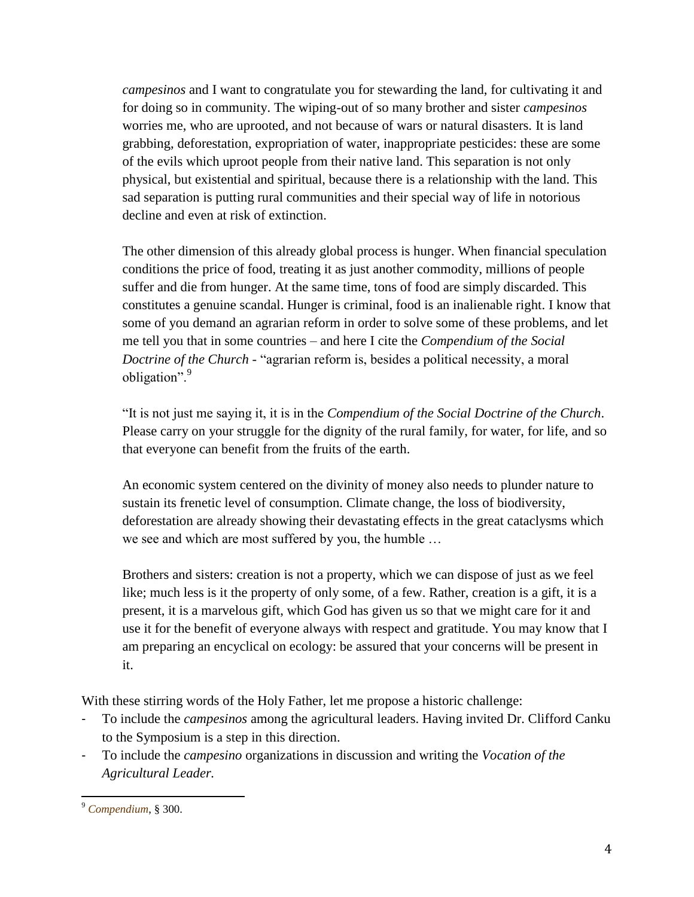*campesinos* and I want to congratulate you for stewarding the land, for cultivating it and for doing so in community. The wiping-out of so many brother and sister *campesinos*  worries me, who are uprooted, and not because of wars or natural disasters. It is land grabbing, deforestation, expropriation of water, inappropriate pesticides: these are some of the evils which uproot people from their native land. This separation is not only physical, but existential and spiritual, because there is a relationship with the land. This sad separation is putting rural communities and their special way of life in notorious decline and even at risk of extinction.

The other dimension of this already global process is hunger. When financial speculation conditions the price of food, treating it as just another commodity, millions of people suffer and die from hunger. At the same time, tons of food are simply discarded. This constitutes a genuine scandal. Hunger is criminal, food is an inalienable right. I know that some of you demand an agrarian reform in order to solve some of these problems, and let me tell you that in some countries – and here I cite the *Compendium of the Social Doctrine of the Church -* "agrarian reform is, besides a political necessity, a moral obligation".<sup>9</sup>

"It is not just me saying it, it is in the *Compendium of the Social Doctrine of the Church*. Please carry on your struggle for the dignity of the rural family, for water, for life, and so that everyone can benefit from the fruits of the earth.

An economic system centered on the divinity of money also needs to plunder nature to sustain its frenetic level of consumption. Climate change, the loss of biodiversity, deforestation are already showing their devastating effects in the great cataclysms which we see and which are most suffered by you, the humble …

Brothers and sisters: creation is not a property, which we can dispose of just as we feel like; much less is it the property of only some, of a few. Rather, creation is a gift, it is a present, it is a marvelous gift, which God has given us so that we might care for it and use it for the benefit of everyone always with respect and gratitude. You may know that I am preparing an encyclical on ecology: be assured that your concerns will be present in it.

With these stirring words of the Holy Father, let me propose a historic challenge:

- To include the *campesinos* among the agricultural leaders. Having invited Dr. Clifford Canku to the Symposium is a step in this direction.
- To include the *campesino* organizations in discussion and writing the *Vocation of the Agricultural Leader.*

 $\overline{a}$ <sup>9</sup> *[Compendium](http://www.vatican.va/roman_curia/pontifical_councils/justpeace/documents/rc_pc_justpeace_doc_20060526_compendio-dott-soc_sp.html)*, § 300.